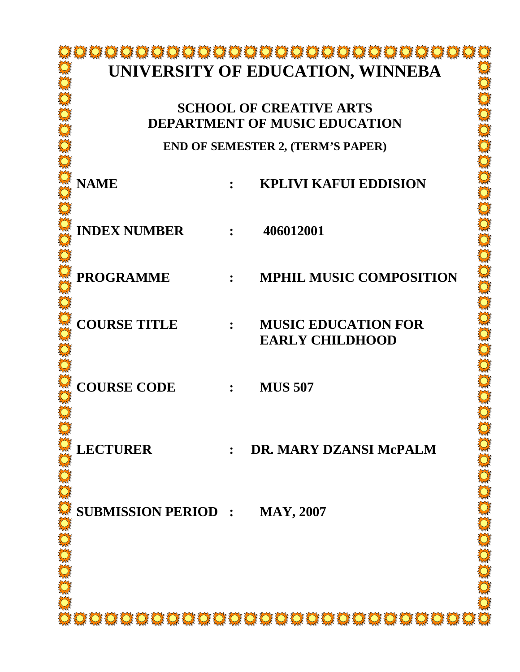# **UNIVERSITY OF EDUCATION, WINNEBA**

# **SCHOOL OF CREATIVE ARTS DEPARTMENT OF MUSIC EDUCATION**

**END OF SEMESTER 2, (TERM'S PAPER)**

| <b>NAME</b>                |                                            | <b>KPLIVI KAFUI EDDISION</b>                         |
|----------------------------|--------------------------------------------|------------------------------------------------------|
| <b>INDEX NUMBER : :</b>    |                                            | 406012001                                            |
| <b>PROGRAMME</b>           | $\ddot{\phantom{a}}$                       | <b>MPHIL MUSIC COMPOSITION</b>                       |
| <b>COURSE TITLE</b>        | $\mathbb{R}^n$ . The set of $\mathbb{R}^n$ | <b>MUSIC EDUCATION FOR</b><br><b>EARLY CHILDHOOD</b> |
| <b>COURSE CODE</b>         | $\mathbf{R}$                               | <b>MUS 507</b>                                       |
| <b>LECTURER</b>            | $\mathbf{r}$                               | DR. MARY DZANSI McPALM                               |
| <b>SUBMISSION PERIOD :</b> |                                            | <b>MAY, 2007</b>                                     |
|                            |                                            |                                                      |
|                            |                                            |                                                      |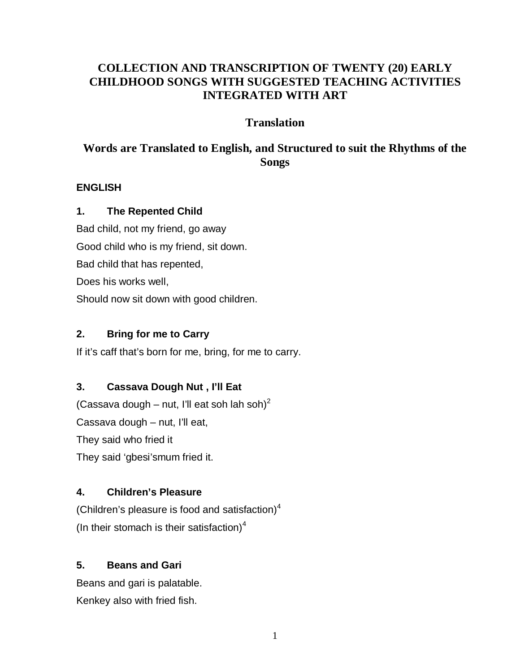# **COLLECTION AND TRANSCRIPTION OF TWENTY (20) EARLY CHILDHOOD SONGS WITH SUGGESTED TEACHING ACTIVITIES INTEGRATED WITH ART**

# **Translation**

# **Words are Translated to English, and Structured to suit the Rhythms of the Songs**

#### **ENGLISH**

### **1. The Repented Child**

Bad child, not my friend, go away Good child who is my friend, sit down. Bad child that has repented, Does his works well, Should now sit down with good children.

### **2. Bring for me to Carry**

If it's caff that's born for me, bring, for me to carry.

# **3. Cassava Dough Nut , I'll Eat**

(Cassava dough – nut, I'll eat soh lah soh)<sup>2</sup> Cassava dough – nut, I'll eat, They said who fried it They said 'gbesi'smum fried it.

# **4. Children's Pleasure**

(Children's pleasure is food and satisfaction) $4$ (In their stomach is their satisfaction)<sup>4</sup>

# **5. Beans and Gari**

Beans and gari is palatable. Kenkey also with fried fish.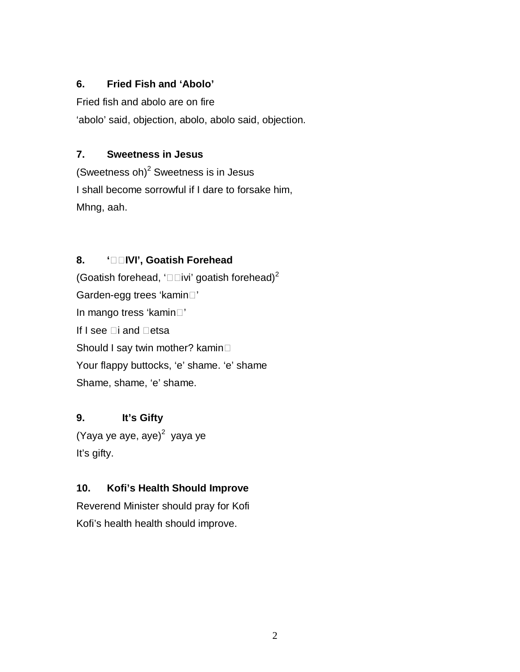#### **6. Fried Fish and 'Abolo'**

Fried fish and abolo are on fire 'abolo' said, objection, abolo, abolo said, objection.

#### **7. Sweetness in Jesus**

(Sweetness oh) $^2$  Sweetness is in Jesus I shall become sorrowful if I dare to forsake him, Mhng, aah.

### **8. 'IVI', Goatish Forehead**

(Goatish forehead, ' $\Box$ ivi' goatish forehead)<sup>2</sup> Garden-egg trees 'kamin<sup>"</sup> In mango tress 'kamin<sup>"</sup> If I see  $\square$ i and  $\square$ etsa Should I say twin mother? kamin Your flappy buttocks, 'e' shame. 'e' shame Shame, shame, 'e' shame.

# **9. It's Gifty**

(Yaya ye aye, aye)<sup>2</sup> yaya ye It's gifty.

# **10. Kofi's Health Should Improve**

Reverend Minister should pray for Kofi Kofi's health health should improve.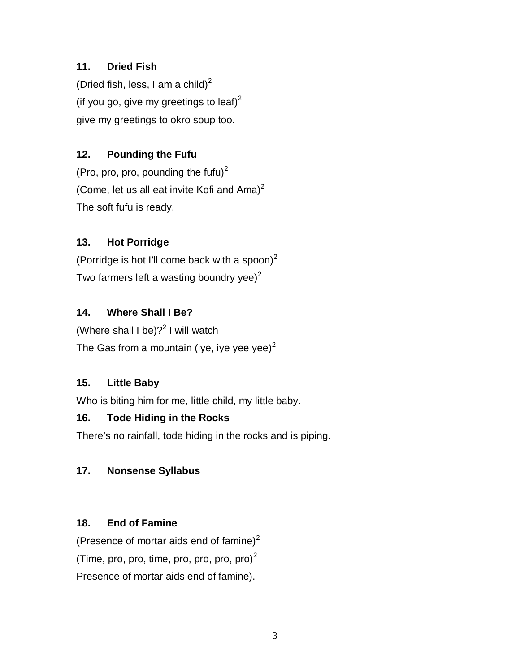# **11. Dried Fish**

(Dried fish, less, I am a child)<sup>2</sup> (if you go, give my greetings to leaf) $^2$ give my greetings to okro soup too.

# **12. Pounding the Fufu**

(Pro, pro, pro, pounding the fufu) $2$ (Come, let us all eat invite Kofi and  $A$ ma)<sup>2</sup> The soft fufu is ready.

# **13. Hot Porridge**

(Porridge is hot I'll come back with a spoon) $^2$ Two farmers left a wasting boundry yee) $2$ 

# **14. Where Shall I Be?**

(Where shall I be)? $^2$  I will watch The Gas from a mountain (iye, iye yee yee) $<sup>2</sup>$ </sup>

# **15. Little Baby**

Who is biting him for me, little child, my little baby.

# **16. Tode Hiding in the Rocks**

There's no rainfall, tode hiding in the rocks and is piping.

# **17. Nonsense Syllabus**

# **18. End of Famine**

(Presence of mortar aids end of famine) $2$ (Time, pro, pro, time, pro, pro, pro, pro) $<sup>2</sup>$ </sup> Presence of mortar aids end of famine).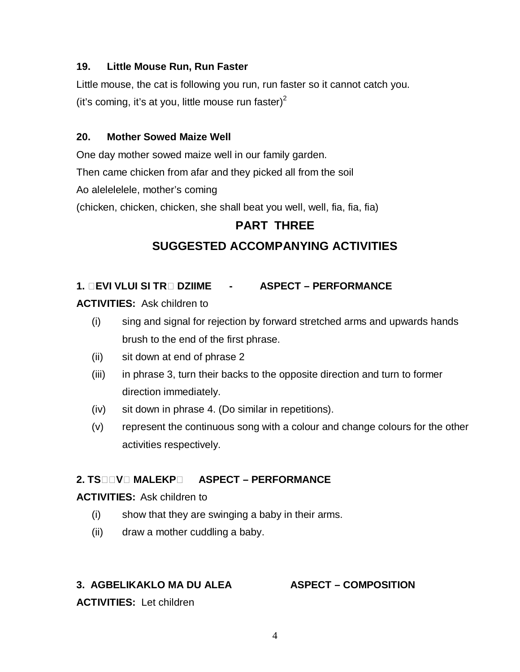#### **19. Little Mouse Run, Run Faster**

Little mouse, the cat is following you run, run faster so it cannot catch you. (it's coming, it's at you, little mouse run faster)<sup>2</sup>

#### **20. Mother Sowed Maize Well**

One day mother sowed maize well in our family garden.

Then came chicken from afar and they picked all from the soil

Ao alelelelele, mother's coming

(chicken, chicken, chicken, she shall beat you well, well, fia, fia, fia)

# **PART THREE**

# **SUGGESTED ACCOMPANYING ACTIVITIES**

### **1. EVI VLUI SI TR DZIIME - ASPECT – PERFORMANCE**

**ACTIVITIES:** Ask children to

- (i) sing and signal for rejection by forward stretched arms and upwards hands brush to the end of the first phrase.
- (ii) sit down at end of phrase 2
- (iii) in phrase 3, turn their backs to the opposite direction and turn to former direction immediately.
- (iv) sit down in phrase 4. (Do similar in repetitions).
- (v) represent the continuous song with a colour and change colours for the other activities respectively.

#### **2. TSV MALEKP ASPECT – PERFORMANCE**

#### **ACTIVITIES:** Ask children to

- (i) show that they are swinging a baby in their arms.
- (ii) draw a mother cuddling a baby.

#### **3. AGBELIKAKLO MA DU ALEA ASPECT – COMPOSITION**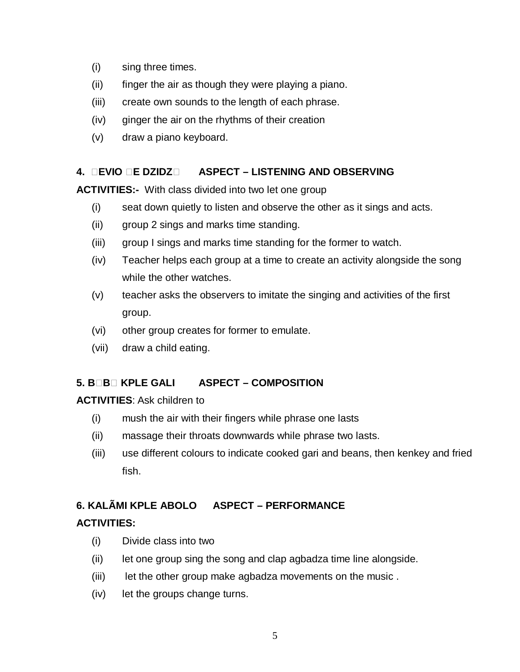- (i) sing three times.
- (ii) finger the air as though they were playing a piano.
- (iii) create own sounds to the length of each phrase.
- (iv) ginger the air on the rhythms of their creation
- (v) draw a piano keyboard.

# **4. EVIO E DZIDZ ASPECT – LISTENING AND OBSERVING**

**ACTIVITIES:-** With class divided into two let one group

- (i) seat down quietly to listen and observe the other as it sings and acts.
- (ii) group 2 sings and marks time standing.
- (iii) group I sings and marks time standing for the former to watch.
- (iv) Teacher helps each group at a time to create an activity alongside the song while the other watches.
- (v) teacher asks the observers to imitate the singing and activities of the first group.
- (vi) other group creates for former to emulate.
- (vii) draw a child eating.

# **5. BB KPLE GALI ASPECT – COMPOSITION**

#### **ACTIVITIES**: Ask children to

- (i) mush the air with their fingers while phrase one lasts
- (ii) massage their throats downwards while phrase two lasts.
- (iii) use different colours to indicate cooked gari and beans, then kenkey and fried fish.

# **6. KALÃMI KPLE ABOLO ASPECT – PERFORMANCE**

# **ACTIVITIES:**

- (i) Divide class into two
- (ii) let one group sing the song and clap agbadza time line alongside.
- (iii) let the other group make agbadza movements on the music.
- (iv) let the groups change turns.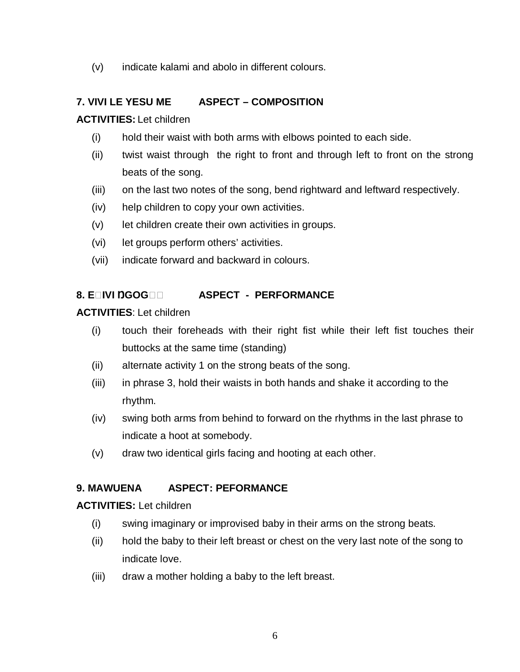(v) indicate kalami and abolo in different colours.

# **7. VIVI LE YESU ME ASPECT – COMPOSITION**

#### **ACTIVITIES:** Let children

- (i) hold their waist with both arms with elbows pointed to each side.
- (ii) twist waist through the right to front and through left to front on the strong beats of the song.
- (iii) on the last two notes of the song, bend rightward and leftward respectively.
- (iv) help children to copy your own activities.
- (v) let children create their own activities in groups.
- (vi) let groups perform others' activities.
- (vii) indicate forward and backward in colours.

#### **8. EQIVI DGOGQQ ASPECT - PERFORMANCE**

#### **ACTIVITIES**: Let children

- (i) touch their foreheads with their right fist while their left fist touches their buttocks at the same time (standing)
- (ii) alternate activity 1 on the strong beats of the song.
- (iii) in phrase 3, hold their waists in both hands and shake it according to the rhythm.
- (iv) swing both arms from behind to forward on the rhythms in the last phrase to indicate a hoot at somebody.
- (v) draw two identical girls facing and hooting at each other.

#### **9. MAWUENA ASPECT: PEFORMANCE**

- (i) swing imaginary or improvised baby in their arms on the strong beats.
- (ii) hold the baby to their left breast or chest on the very last note of the song to indicate love.
- (iii) draw a mother holding a baby to the left breast.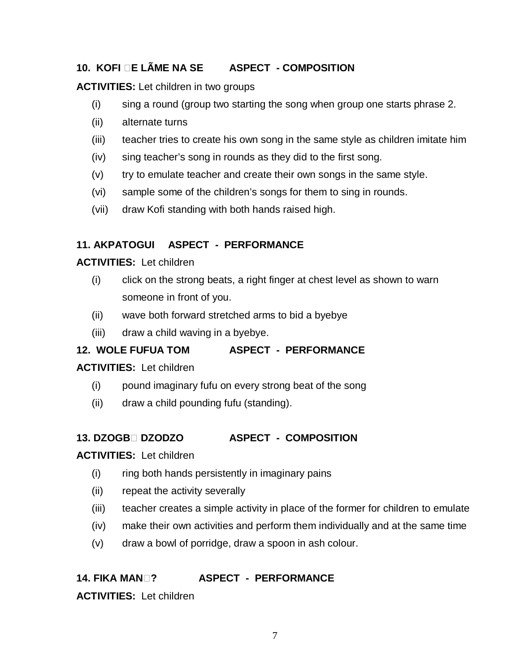### **10. KOFI E LÃME NA SE ASPECT - COMPOSITION**

**ACTIVITIES:** Let children in two groups

- (i) sing a round (group two starting the song when group one starts phrase 2.
- (ii) alternate turns
- (iii) teacher tries to create his own song in the same style as children imitate him
- (iv) sing teacher's song in rounds as they did to the first song.
- $(v)$  try to emulate teacher and create their own songs in the same style.
- (vi) sample some of the children's songs for them to sing in rounds.
- (vii) draw Kofi standing with both hands raised high.

#### **11. AKPATOGUI ASPECT - PERFORMANCE**

#### **ACTIVITIES:** Let children

- (i) click on the strong beats, a right finger at chest level as shown to warn someone in front of you.
- (ii) wave both forward stretched arms to bid a byebye
- (iii) draw a child waving in a byebye.

#### **12. WOLE FUFUA TOM ASPECT - PERFORMANCE**

#### **ACTIVITIES:** Let children

- (i) pound imaginary fufu on every strong beat of the song
- (ii) draw a child pounding fufu (standing).

#### **13. DZOGB DZODZO ASPECT - COMPOSITION**

#### **ACTIVITIES:** Let children

- (i) ring both hands persistently in imaginary pains
- (ii) repeat the activity severally
- (iii) teacher creates a simple activity in place of the former for children to emulate
- (iv) make their own activities and perform them individually and at the same time
- (v) draw a bowl of porridge, draw a spoon in ash colour.

# **14. FIKA MAN? ASPECT - PERFORMANCE**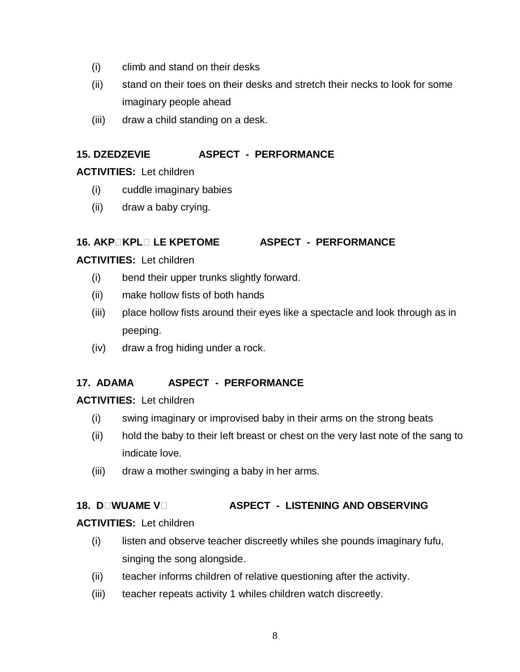- (i) climb and stand on their desks
- (ii) stand on their toes on their desks and stretch their necks to look for some imaginary people ahead
- (iii) draw a child standing on a desk.

# **15. DZEDZEVIE ASPECT - PERFORMANCE**

### **ACTIVITIES:** Let children

- (i) cuddle imaginary babies
- (ii) draw a baby crying.

### **16. AKPKPL LE KPETOME ASPECT - PERFORMANCE**

#### **ACTIVITIES:** Let children

- (i) bend their upper trunks slightly forward.
- (ii) make hollow fists of both hands
- (iii) place hollow fists around their eyes like a spectacle and look through as in peeping.
- (iv) draw a frog hiding under a rock.

# **17. ADAMA ASPECT - PERFORMANCE**

#### **ACTIVITIES:** Let children

- (i) swing imaginary or improvised baby in their arms on the strong beats
- (ii) hold the baby to their left breast or chest on the very last note of the sang to indicate love.
- (iii) draw a mother swinging a baby in her arms.

# **18. DIMUAME VILLET ASPECT - LISTENING AND OBSERVING**

- (i) listen and observe teacher discreetly whiles she pounds imaginary fufu, singing the song alongside.
- (ii) teacher informs children of relative questioning after the activity.
- (iii) teacher repeats activity 1 whiles children watch discreetly.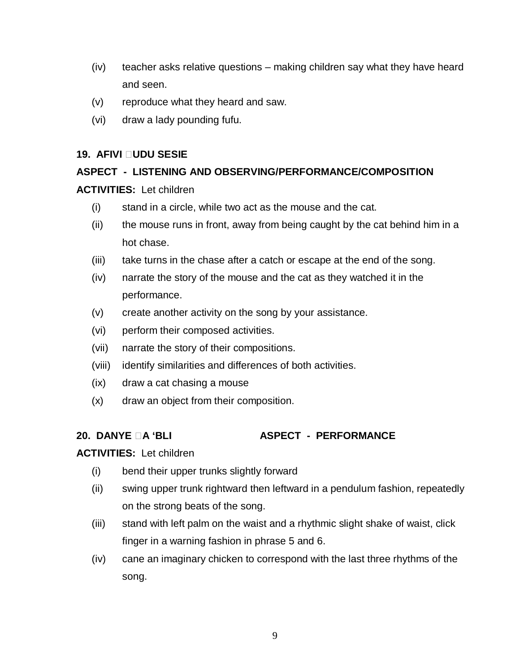- (iv) teacher asks relative questions making children say what they have heard and seen.
- (v) reproduce what they heard and saw.
- (vi) draw a lady pounding fufu.

#### **19. AFIVI UDU SESIE**

# **ASPECT - LISTENING AND OBSERVING/PERFORMANCE/COMPOSITION**

#### **ACTIVITIES:** Let children

- (i) stand in a circle, while two act as the mouse and the cat.
- (ii) the mouse runs in front, away from being caught by the cat behind him in a hot chase.
- (iii) take turns in the chase after a catch or escape at the end of the song.
- (iv) narrate the story of the mouse and the cat as they watched it in the performance.
- (v) create another activity on the song by your assistance.
- (vi) perform their composed activities.
- (vii) narrate the story of their compositions.
- (viii) identify similarities and differences of both activities.
- (ix) draw a cat chasing a mouse
- (x) draw an object from their composition.

#### **20. DANYE A 'BLI ASPECT - PERFORMANCE**

- (i) bend their upper trunks slightly forward
- (ii) swing upper trunk rightward then leftward in a pendulum fashion, repeatedly on the strong beats of the song.
- (iii) stand with left palm on the waist and a rhythmic slight shake of waist, click finger in a warning fashion in phrase 5 and 6.
- (iv) cane an imaginary chicken to correspond with the last three rhythms of the song.